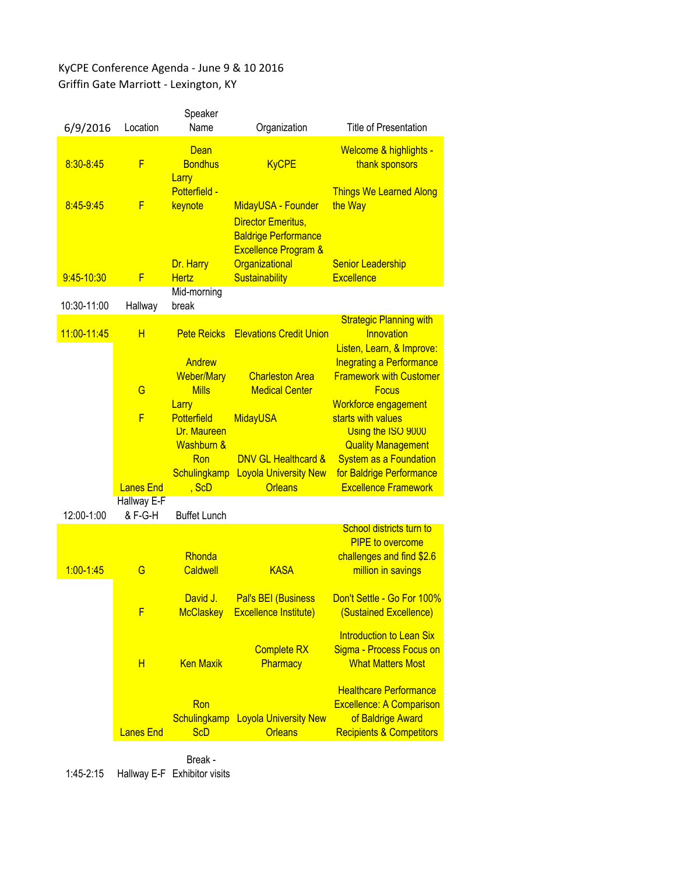## KyCPE Conference Agenda - June 9 & 10 2016 Griffin Gate Marriott - Lexington, KY

| 6/9/2016      | Location               | Speaker<br>Name                                                   | Organization                                                                                                      | <b>Title of Presentation</b>                                                                                                 |
|---------------|------------------------|-------------------------------------------------------------------|-------------------------------------------------------------------------------------------------------------------|------------------------------------------------------------------------------------------------------------------------------|
| 8:30-8:45     | F                      | Dean<br><b>Bondhus</b><br>Larry                                   | <b>KyCPE</b>                                                                                                      | Welcome & highlights -<br>thank sponsors                                                                                     |
| 8:45-9:45     | F                      | <b>Potterfield -</b><br>keynote                                   | MidayUSA - Founder<br><b>Director Emeritus,</b><br><b>Baldrige Performance</b><br><b>Excellence Program &amp;</b> | <b>Things We Learned Along</b><br>the Way                                                                                    |
| 9:45-10:30    | F                      | Dr. Harry<br><b>Hertz</b>                                         | Organizational<br>Sustainability                                                                                  | <b>Senior Leadership</b><br><b>Excellence</b>                                                                                |
| 10:30-11:00   | Hallway                | Mid-morning<br>break                                              |                                                                                                                   |                                                                                                                              |
| 11:00-11:45   | H                      |                                                                   | <b>Pete Reicks</b> Elevations Credit Union                                                                        | <b>Strategic Planning with</b><br>Innovation<br>Listen, Learn, & Improve:                                                    |
|               | G                      | Andrew<br><b>Weber/Mary</b><br><b>Mills</b><br>Larry              | <b>Charleston Area</b><br><b>Medical Center</b>                                                                   | <b>Inegrating a Performance</b><br><b>Framework with Customer</b><br><b>Focus</b><br>Workforce engagement                    |
|               | F                      | <b>Potterfield</b><br>Dr. Maureen<br><b>Washburn &amp;</b><br>Ron | <b>MidayUSA</b><br><b>DNV GL Healthcard &amp;</b>                                                                 | starts with values<br>Using the ISO 9000<br><b>Quality Management</b><br><b>System as a Foundation</b>                       |
|               | <b>Lanes End</b>       | Schulingkamp<br>$,$ ScD                                           | <b>Loyola University New</b><br><b>Orleans</b>                                                                    | for Baldrige Performance<br><b>Excellence Framework</b>                                                                      |
| 12:00-1:00    | Hallway E-F<br>& F-G-H | <b>Buffet Lunch</b>                                               |                                                                                                                   |                                                                                                                              |
| $1:00 - 1:45$ | G                      | Rhonda<br><b>Caldwell</b>                                         | <b>KASA</b>                                                                                                       | School districts turn to<br><b>PIPE</b> to overcome<br>challenges and find \$2.6<br>million in savings                       |
|               | F                      | David J.<br><b>McClaskey</b>                                      | <b>Pal's BEI (Business</b><br><b>Excellence Institute)</b>                                                        | Don't Settle - Go For 100%<br>(Sustained Excellence)                                                                         |
|               | Н                      | <b>Ken Maxik</b>                                                  | <b>Complete RX</b><br>Pharmacy                                                                                    | <b>Introduction to Lean Six</b><br>Sigma - Process Focus on<br><b>What Matters Most</b>                                      |
|               | <b>Lanes End</b>       | Ron<br><b>Schulingkamp</b><br><b>ScD</b>                          | <b>Loyola University New</b><br><b>Orleans</b>                                                                    | <b>Healthcare Performance</b><br><b>Excellence: A Comparison</b><br>of Baldrige Award<br><b>Recipients &amp; Competitors</b> |

1:45-2:15 Hallway E-F Exhibitor visitsBreak -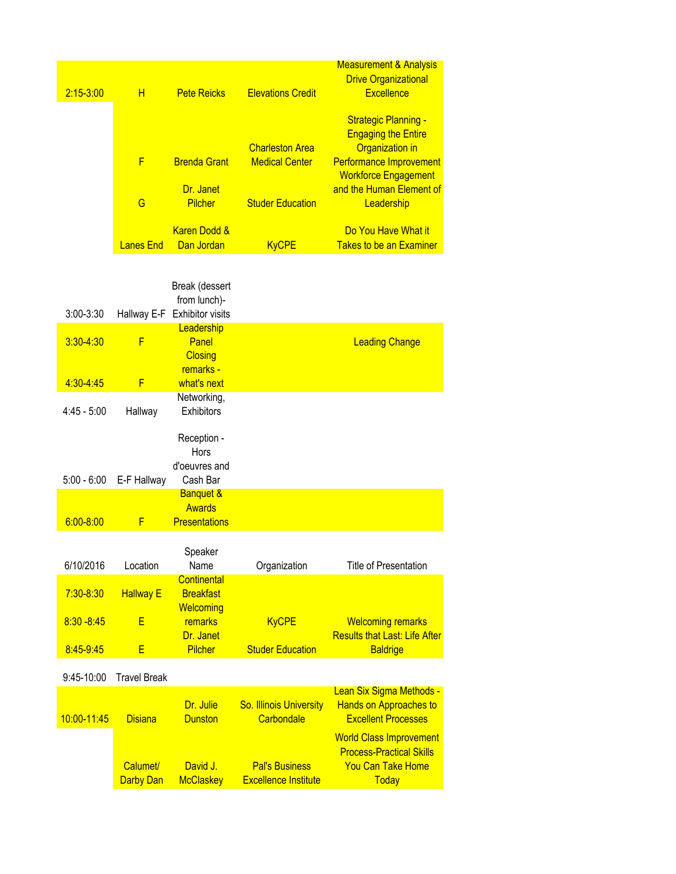|               |           |                     |                          | <b>Measurement &amp; Analysis</b><br><b>Drive Organizational</b> |
|---------------|-----------|---------------------|--------------------------|------------------------------------------------------------------|
| $2:15 - 3:00$ | Н         | <b>Pete Reicks</b>  | <b>Elevations Credit</b> | <b>Excellence</b>                                                |
|               |           |                     |                          | <b>Strategic Planning -</b>                                      |
|               |           |                     | <b>Charleston Area</b>   | <b>Engaging the Entire</b><br><b>Organization in</b>             |
|               | F         | <b>Brenda Grant</b> | <b>Medical Center</b>    | Performance Improvement<br><b>Workforce Engagement</b>           |
|               |           | Dr. Janet           |                          | and the Human Element of                                         |
|               | G         | Pilcher             | <b>Studer Education</b>  | Leadership                                                       |
|               |           | Karen Dodd &        |                          | Do You Have What it                                              |
|               | Lanes End | <b>Dan Jordan</b>   | <b>KvCPE</b>             | <b>Takes to be an Examiner</b>                                   |

|               |                  | Break (dessert<br>from lunch)-                                |                         |                                                                  |
|---------------|------------------|---------------------------------------------------------------|-------------------------|------------------------------------------------------------------|
| $3:00 - 3:30$ |                  | Hallway E-F Exhibitor visits                                  |                         |                                                                  |
| $3:30 - 4:30$ | F                | Leadership<br>Panel<br><b>Closing</b>                         |                         | <b>Leading Change</b>                                            |
| 4:30-4:45     | F                | remarks -<br>what's next                                      |                         |                                                                  |
| $4:45 - 5:00$ | Hallway          | Networking,<br><b>Exhibitors</b>                              |                         |                                                                  |
|               |                  | Reception -<br><b>Hors</b><br>d'oeuvres and                   |                         |                                                                  |
| $5:00 - 6:00$ | E-F Hallway      | Cash Bar                                                      |                         |                                                                  |
| $6:00 - 8:00$ | F                | <b>Banquet &amp;</b><br><b>Awards</b><br><b>Presentations</b> |                         |                                                                  |
| 6/10/2016     | Location         | Speaker<br>Name                                               | Organization            | <b>Title of Presentation</b>                                     |
| $7:30 - 8:30$ | <b>Hallway E</b> | Continental<br><b>Breakfast</b><br><b>Welcoming</b>           |                         |                                                                  |
| $8:30 - 8:45$ | E                | remarks<br>Dr. Janet                                          | <b>KyCPE</b>            | <b>Welcoming remarks</b><br><b>Results that Last: Life After</b> |
| 8:45-9:45     | E                | <b>Pilcher</b>                                                | <b>Studer Education</b> | <b>Baldrige</b>                                                  |

## 9:45-10:00 Travel Break

| <u>10:00-11:45</u> | <b>Disiana</b> | Dr. Julie<br><b>Dunston</b> | <b>So. Illinois University</b><br>Carbondale | Lean Six Sigma Methods -<br>Hands on Approaches to<br><b>Excellent Processes</b>              |
|--------------------|----------------|-----------------------------|----------------------------------------------|-----------------------------------------------------------------------------------------------|
|                    | Calumet/       | David J.                    | <b>Pal's Business</b>                        | <b>World Class Improvement</b><br><b>Process-Practical Skills</b><br><b>You Can Take Home</b> |
|                    | Darby Dan      | <b>McClaskey</b>            | <b>Excellence Institute</b>                  | Today                                                                                         |